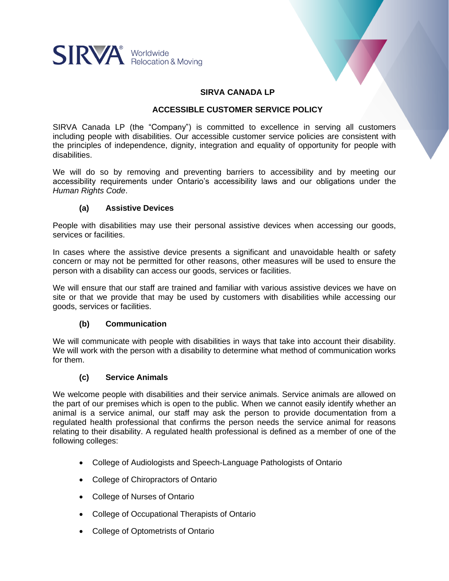

# **SIRVA CANADA LP**

### **ACCESSIBLE CUSTOMER SERVICE POLICY**

SIRVA Canada LP (the "Company") is committed to excellence in serving all customers including people with disabilities. Our accessible customer service policies are consistent with the principles of independence, dignity, integration and equality of opportunity for people with disabilities.

We will do so by removing and preventing barriers to accessibility and by meeting our accessibility requirements under Ontario's accessibility laws and our obligations under the *Human Rights Code*.

### **(a) Assistive Devices**

People with disabilities may use their personal assistive devices when accessing our goods, services or facilities.

In cases where the assistive device presents a significant and unavoidable health or safety concern or may not be permitted for other reasons, other measures will be used to ensure the person with a disability can access our goods, services or facilities.

We will ensure that our staff are trained and familiar with various assistive devices we have on site or that we provide that may be used by customers with disabilities while accessing our goods, services or facilities.

### **(b) Communication**

We will communicate with people with disabilities in ways that take into account their disability. We will work with the person with a disability to determine what method of communication works for them.

### **(c) Service Animals**

We welcome people with disabilities and their service animals. Service animals are allowed on the part of our premises which is open to the public. When we cannot easily identify whether an animal is a service animal, our staff may ask the person to provide documentation from a regulated health professional that confirms the person needs the service animal for reasons relating to their disability. A regulated health professional is defined as a member of one of the following colleges:

- College of Audiologists and Speech-Language Pathologists of Ontario
- College of Chiropractors of Ontario
- College of Nurses of Ontario
- College of Occupational Therapists of Ontario
- College of Optometrists of Ontario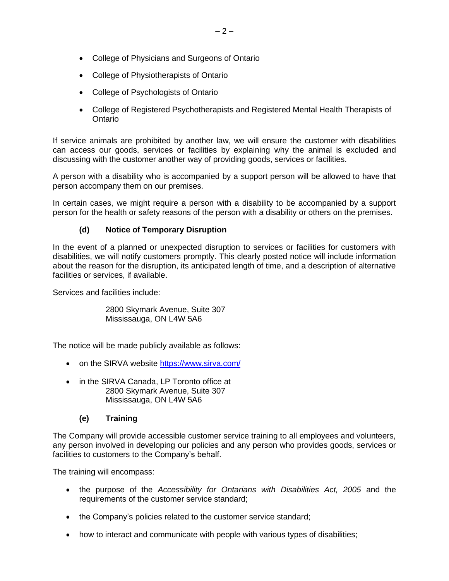- College of Physicians and Surgeons of Ontario
- College of Physiotherapists of Ontario
- College of Psychologists of Ontario
- College of Registered Psychotherapists and Registered Mental Health Therapists of Ontario

If service animals are prohibited by another law, we will ensure the customer with disabilities can access our goods, services or facilities by explaining why the animal is excluded and discussing with the customer another way of providing goods, services or facilities.

A person with a disability who is accompanied by a support person will be allowed to have that person accompany them on our premises.

In certain cases, we might require a person with a disability to be accompanied by a support person for the health or safety reasons of the person with a disability or others on the premises.

# **(d) Notice of Temporary Disruption**

In the event of a planned or unexpected disruption to services or facilities for customers with disabilities, we will notify customers promptly. This clearly posted notice will include information about the reason for the disruption, its anticipated length of time, and a description of alternative facilities or services, if available.

Services and facilities include:

2800 Skymark Avenue, Suite 307 Mississauga, ON L4W 5A6

The notice will be made publicly available as follows:

- on the SIRVA website<https://www.sirva.com/>
- in the SIRVA Canada, LP Toronto office at 2800 Skymark Avenue, Suite 307 Mississauga, ON L4W 5A6

# **(e) Training**

The Company will provide accessible customer service training to all employees and volunteers, any person involved in developing our policies and any person who provides goods, services or facilities to customers to the Company's behalf.

The training will encompass:

- the purpose of the *Accessibility for Ontarians with Disabilities Act, 2005* and the requirements of the customer service standard;
- the Company's policies related to the customer service standard;
- how to interact and communicate with people with various types of disabilities;